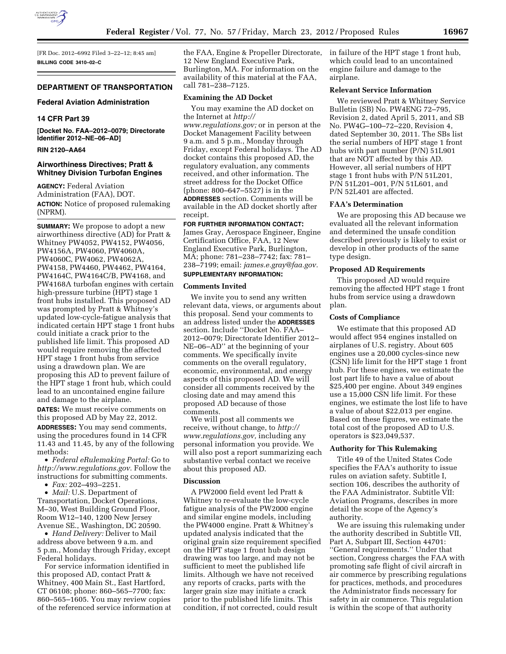

[FR Doc. 2012–6992 Filed 3–22–12; 8:45 am] **BILLING CODE 3410–02–C** 

### **DEPARTMENT OF TRANSPORTATION**

#### **Federal Aviation Administration**

## **14 CFR Part 39**

**[Docket No. FAA–2012–0079; Directorate Identifier 2012–NE–06–AD]** 

# **RIN 2120–AA64**

# **Airworthiness Directives; Pratt & Whitney Division Turbofan Engines**

**AGENCY:** Federal Aviation Administration (FAA), DOT. **ACTION:** Notice of proposed rulemaking (NPRM).

**SUMMARY:** We propose to adopt a new airworthiness directive (AD) for Pratt & Whitney PW4052, PW4152, PW4056, PW4156A, PW4060, PW4060A, PW4060C, PW4062, PW4062A, PW4158, PW4460, PW4462, PW4164, PW4164C, PW4164C/B, PW4168, and PW4168A turbofan engines with certain high-pressure turbine (HPT) stage 1 front hubs installed. This proposed AD was prompted by Pratt & Whitney's updated low-cycle-fatigue analysis that indicated certain HPT stage 1 front hubs could initiate a crack prior to the published life limit. This proposed AD would require removing the affected HPT stage 1 front hubs from service using a drawdown plan. We are proposing this AD to prevent failure of the HPT stage 1 front hub, which could lead to an uncontained engine failure and damage to the airplane.

**DATES:** We must receive comments on this proposed AD by May 22, 2012.

**ADDRESSES:** You may send comments, using the procedures found in 14 CFR 11.43 and 11.45, by any of the following methods:

• *Federal eRulemaking Portal:* Go to *[http://www.regulations.gov.](http://www.regulations.gov)* Follow the instructions for submitting comments.

• *Fax:* 202–493–2251.

• *Mail:* U.S. Department of Transportation, Docket Operations, M–30, West Building Ground Floor, Room W12–140, 1200 New Jersey Avenue SE., Washington, DC 20590.

• *Hand Delivery:* Deliver to Mail address above between 9 a.m. and 5 p.m., Monday through Friday, except Federal holidays.

For service information identified in this proposed AD, contact Pratt & Whitney, 400 Main St., East Hartford, CT 06108; phone: 860–565–7700; fax: 860–565–1605. You may review copies of the referenced service information at the FAA, Engine & Propeller Directorate, 12 New England Executive Park, Burlington, MA. For information on the availability of this material at the FAA, call 781–238–7125.

# **Examining the AD Docket**

You may examine the AD docket on the Internet at *[http://](http://www.regulations.gov)  [www.regulations.gov;](http://www.regulations.gov)* or in person at the Docket Management Facility between 9 a.m. and 5 p.m., Monday through Friday, except Federal holidays. The AD docket contains this proposed AD, the regulatory evaluation, any comments received, and other information. The street address for the Docket Office (phone: 800–647–5527) is in the **ADDRESSES** section. Comments will be available in the AD docket shortly after receipt.

**FOR FURTHER INFORMATION CONTACT:**  James Gray, Aerospace Engineer, Engine Certification Office, FAA, 12 New England Executive Park, Burlington, MA; phone: 781–238–7742; fax: 781– 238–7199; email: *[james.e.gray@faa.gov.](mailto:james.e.gray@faa.gov)*  **SUPPLEMENTARY INFORMATION:** 

#### **Comments Invited**

We invite you to send any written relevant data, views, or arguments about this proposal. Send your comments to an address listed under the **ADDRESSES** section. Include ''Docket No. FAA– 2012–0079; Directorate Identifier 2012– NE–06–AD'' at the beginning of your comments. We specifically invite comments on the overall regulatory, economic, environmental, and energy aspects of this proposed AD. We will consider all comments received by the closing date and may amend this proposed AD because of those comments.

We will post all comments we receive, without change, to *[http://](http://www.regulations.gov) [www.regulations.gov,](http://www.regulations.gov)* including any personal information you provide. We will also post a report summarizing each substantive verbal contact we receive about this proposed AD.

# **Discussion**

A PW2000 field event led Pratt & Whitney to re-evaluate the low-cycle fatigue analysis of the PW2000 engine and similar engine models, including the PW4000 engine. Pratt & Whitney's updated analysis indicated that the original grain size requirement specified on the HPT stage 1 front hub design drawing was too large, and may not be sufficient to meet the published life limits. Although we have not received any reports of cracks, parts with the larger grain size may initiate a crack prior to the published life limits. This condition, if not corrected, could result

in failure of the HPT stage 1 front hub, which could lead to an uncontained engine failure and damage to the airplane.

## **Relevant Service Information**

We reviewed Pratt & Whitney Service Bulletin (SB) No. PW4ENG 72–795, Revision 2, dated April 5, 2011, and SB No. PW4G–100–72–220, Revision 4, dated September 30, 2011. The SBs list the serial numbers of HPT stage 1 front hubs with part number (P/N) 51L901 that are NOT affected by this AD. However, all serial numbers of HPT stage 1 front hubs with P/N 51L201, P/N 51L201–001, P/N 51L601, and P/N 52L401 are affected.

## **FAA's Determination**

We are proposing this AD because we evaluated all the relevant information and determined the unsafe condition described previously is likely to exist or develop in other products of the same type design.

### **Proposed AD Requirements**

This proposed AD would require removing the affected HPT stage 1 front hubs from service using a drawdown plan.

## **Costs of Compliance**

We estimate that this proposed AD would affect 954 engines installed on airplanes of U.S. registry. About 605 engines use a 20,000 cycles-since new (CSN) life limit for the HPT stage 1 front hub. For these engines, we estimate the lost part life to have a value of about \$25,400 per engine. About 349 engines use a 15,000 CSN life limit. For these engines, we estimate the lost life to have a value of about \$22,013 per engine. Based on these figures, we estimate the total cost of the proposed AD to U.S. operators is \$23,049,537.

## **Authority for This Rulemaking**

Title 49 of the United States Code specifies the FAA's authority to issue rules on aviation safety. Subtitle I, section 106, describes the authority of the FAA Administrator. Subtitle VII: Aviation Programs, describes in more detail the scope of the Agency's authority.

We are issuing this rulemaking under the authority described in Subtitle VII, Part A, Subpart III, Section 44701: ''General requirements.'' Under that section, Congress charges the FAA with promoting safe flight of civil aircraft in air commerce by prescribing regulations for practices, methods, and procedures the Administrator finds necessary for safety in air commerce. This regulation is within the scope of that authority